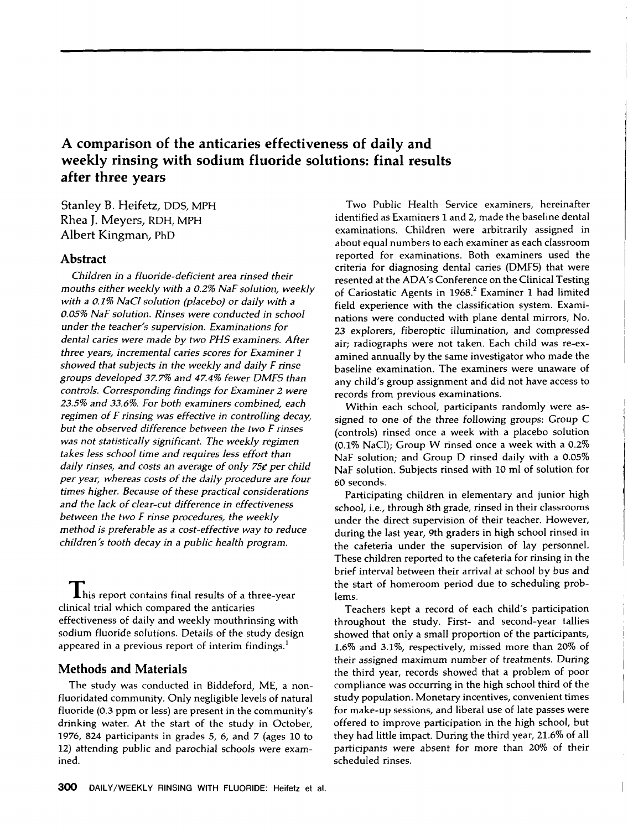# **A comparison of the anticaries effectiveness of daily and weekly rinsing with sodium fluoride solutions: final results after three years**

**Stanley B. Heifetz, DDS, MPH Rhea J. Meyers, RDH, MPH Albert Kingman, PhD**

## **Abstract**

*Children in a fluoride-deh'cient area rinsed their mouths either weekly with a 0.2% NaF solution, weekly with a 0.1% NaCl solution (placebo) or daily with a 0.05% NaF solution. Rinses* were *conducted in school under the teacher's supervision. Examinations for dental caries* were *made by two PHS examiners. After three years, incremental caries scores for Examiner 1 showed that subjects in the weekly and daily F rinse groups developed .3Z 7% and 4Z4% Fewer DMFS than controls. Corresponding Findings for Examiner 2 were 23.5% and 33.6%. For both examiners combined, each regimen of F rinsing was effective in controlling decay, but the observed difference between the two F rinses was not statistically significant. The weekly regimen takes less school time and requires less effort than daily rinses, and costs an average of only 75¢ per child per year, whereas costs of the daily procedure are Four times higher. Because of these practical considerations and the lack of clear-cut difference in effectiveness between the two F rinse procedures, the weekly method is preferable as a cost-effective way to reduce children's tooth decay in a public health program.*

**This report contains final results of a three-year** clinical trial which compared the anticaries effectiveness of daily and weekly mouthrinsing with sodium fluoride solutions. Details of the study design appeared in a previous report of interim findings.<sup>1</sup>

### **Methods and Materials**

The study was conducted in Biddeford, ME, a nonfluoridated community. Only negligible levels of natural fluoride (0.3 ppm or less) are present in the community's drinking water. At the start of the study in October, 1976, 824 participants in grades 5, 6, and 7 (ages 10 to 12) attending public and parochial schools were examined.

Two Public Health Service examiners, hereinafter identified as Examiners I and 2, made the baseline dental examinations. Children were arbitrarily assigned in about equal numbers to each examiner as each classroom reported for examinations. Both examiners used the criteria for diagnosing dental caries (DMFS) that were resented at the ADA's Conference on the Clinical Testing of Cariostatic Agents in  $1968$ .<sup>2</sup> Examiner 1 had limited field experience with the classification system. Examinations were conducted with plane dental mirrors, No. 23 explorers, fiberoptic illumination, and compressed air; radiographs were not taken. Each child was re-examined annually by the same investigator who made the baseline examination. The examiners were unaware of any child's group assignment and did not have access to records from previous examinations.

Within each school, participants randomly were assigned to one of the three following groups: Group C (controls) rinsed once a week with a placebo solution (0.1% NaC1); Group W rinsed once a week with a 0.2% NaF solution; and Group D rinsed daily with a 0.05% NaF solution. Subjects rinsed with 10 ml of solution for 60 seconds.

Participating children in elementary and junior high school, i.e., through 8th grade, rinsed in their classrooms under the direct supervision of their teacher. However, during the last year, 9th graders in high school rinsed in the cafeteria under the supervision of lay personnel. These children reported to the cafeteria for rinsing in the brief interval between their arrival at school by bus and the start of homeroom period due to scheduling problems.

Teachers kept a record of each child's participation throughout the study. First- and second-year tallies showed that only a small proportion of the participants, 1.6% and 3.1%, respectively, missed more than 20% of their assigned maximum number of treatments. During the third year, records showed that a problem of poor compliance was occurring in the high school third of the study population. Monetary incentives, convenient times **for** make-up sessions, and liberal use of late passes were offered to improve participation in the high school, but they had little impact. During the third year, 21.6% of all participants were absent for more than 20% of their scheduled rinses.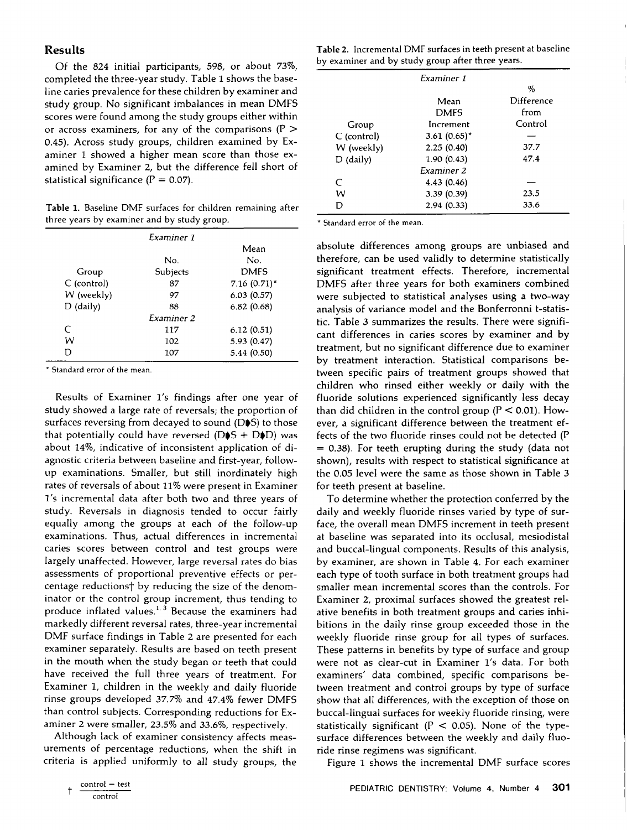#### **Results**

Of the 824 initial participants, 598, or about 73%, completed the three-year study. Table 1 shows the baseline caries prevalence for these children by examiner and study group. No significant imbalances in mean DMFS scores were found among the study groups either within or across examiners, for any of the comparisons ( $P >$ 0.45). Across study groups, children examined by Examiner 1 showed a higher mean score than those examined by Examiner 2, but the difference fell short of statistical significance  $(P = 0.07)$ .

**Table** 1. Baseline DMF surfaces for children remaining after three years by examiner and by study group.

|             | Examiner 1        |                |
|-------------|-------------------|----------------|
|             |                   | Mean           |
|             | No.               | No.            |
| Group       | Subjects          | <b>DMFS</b>    |
| C (control) | 87                | $7.16(0.71)^*$ |
| W (weekly)  | 97                | 6.03(0.57)     |
| $D$ (daily) | 88                | 6.82(0.68)     |
|             | <b>Examiner 2</b> |                |
| $\subset$   | 117               | 6.12(0.51)     |
| w           | 102               | 5.93 (0.47)    |
| n           | 107               | 5.44(0.50)     |

\* Standard error of the mean.

Results of Examiner l's findings after one year of study showed a large rate of reversals; the proportion of surfaces reversing from decayed to sound ( $D\blacklozenge S$ ) to those that potentially could have reversed ( $D\spadesuit S + D\spadesuit D)$  was about 14%, indicative of inconsistent application of diagnostic criteria between baseline and first-year, followup examinations. Smaller, but still inordinately high rates of reversals of about 11% were present in Examiner 1's incremental data after both two and three years of study. Reversals in diagnosis tended to occur fairly equally among the groups at each of the follow-up examinations. Thus, actual differences in incremental caries scores between control and test groups were largely unaffected. However, large reversal rates do bias assessments of proportional preventive effects or percentage reductions<sup>†</sup> by reducing the size of the denominator or the control group increment, thus tending to produce inflated values. $1,3$  Because the examiners had markedly different reversal rates, three-year incremental DMF surface findings in Table 2 are presented for each examiner separately. Results are based on teeth present in the mouth when the study began or teeth that could have received the full three years of treatment. For Examiner 1, children in the weekly and daily fluoride rinse groups developed 37.7% and 47.4% fewer DMFS than control subjects. Corresponding reductions for Examiner 2 were smaller, 23.5% and 33.6%, respectively.

Although lack of examiner consistency affects measurements of percentage reductions, when the shift in criteria is applied uniformly to all study groups, the

**Table** 2. Incremental DMF surfaces in teeth present at baseline by examiner and by study group after three years.

|               | Examiner 1      |            |
|---------------|-----------------|------------|
|               |                 | %          |
|               | Mean            | Difference |
|               | <b>DMFS</b>     | from       |
| Group         | Increment       | Control    |
| $C$ (control) | 3.61 $(0.65)^*$ |            |
| W (weekly)    | 2.25(0.40)      | 37.7       |
| $D$ (daily)   | 1.90(0.43)      | 47.4       |
|               | Examiner 2      |            |
| C             | 4.43 (0.46)     |            |
| w             | 3.39(0.39)      | 23.5       |
|               | 2.94(0.33)      | 33.6       |
|               |                 |            |

\* Standard error of the mean.

absolute differences among groups are unbiased and therefore, can be used validly to determine statistically significant treatment effects. Therefore, incremental DMFS after three years for both examiners combined were subjected to statistical analyses using a two-way analysis of variance model and the Bonferronni t-statistic. Table 3 summarizes the results. There were significant differences in caries scores by examiner and by treatment, but no significant difference due to examiner by treatment interaction. Statistical comparisons between specific pairs of treatment groups showed that children who rinsed either weekly or daily with the fluoride solutions experienced significantly less decay than did children in the control group ( $P < 0.01$ ). However, a significant difference between the treatment effects of the two fluoride rinses could not be detected (P  $= 0.38$ ). For teeth erupting during the study (data not shown), results with respect to statistical significance at the 0.05 level were the same as those shown in Table 3 for teeth present at baseline.

To determine whether the protection conferred by the daily and weekly fluoride rinses varied by type of surface, the overall mean DMFS increment in teeth present at baseline was separated into its occlusal, mesiodistal and buccal-lingual components. Results of this analysis, by examiner, are shown in Table 4. For each examiner each type of tooth surface in both treatment groups had smaller mean incremental scores than the controls. For Examiner 2) proximal surfaces showed the greatest relative benefits in both treatment groups and caries inhibitions in the daily rinse group exceeded those in the weekly fluoride rinse group for all types of surfaces. These patterns in benefits by type of surface and group were not as clear-cut in Examiner l's data. For both examiners' data combined, specific comparisons between treatment and control groups by type of surface show that all differences, with the exception of those on buccal-lingual surfaces for weekly fluoride rinsing, were statistically significant ( $P < 0.05$ ). None of the typesurface differences between the weekly and daily fluoride rinse regimens was significant.

Figure 1 shows the incremental DMF surface scores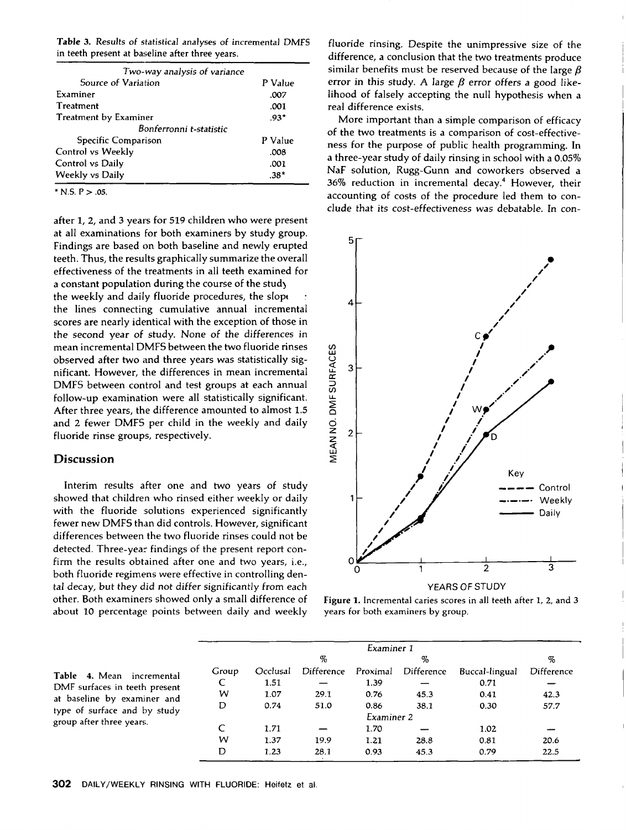**Table** 3. Results of *statistical* analyses of incremental DMFS in teeth present at baseline after three years.

| Two-way analysis of variance |         |  |
|------------------------------|---------|--|
| Source of Variation          | P Value |  |
| Examiner                     | .007    |  |
| Treatment                    | .001    |  |
| Treatment by Examiner        | $.93*$  |  |
| Bonferronni t-statistic      |         |  |
| Specific Comparison          | P Value |  |
| Control vs Weekly            | .008    |  |
| Control vs Daily             | .001    |  |
| Weekly vs Daily              | .38*    |  |

**\* N.S. P > .05.**

after 1, 2, and 3 years for 519 children who were present at all examinations for both examiners by study group. Findings are based on both baseline and newly erupted teeth. Thus, the results graphically summarize the overall effectiveness of the treatments in all teeth examined for a constant population during the course of the study the weekly and daily fluoride procedures, the slop $\epsilon$ the lines connecting cumulative annual incremental scores are nearly identical with the exception of those in the second year of study. None of the differences in mean incremental DMFS between the two fluoride rinses observed after two and three years was statistically significant. However, the differences in mean incremental DMFS between control and test groups at each annual follow-up examination were all statistically significant. After three years, the difference amounted to almost 1.5 and 2 fewer DMFS per child in the weekly and daily fluoride rinse groups, respectively.

#### **Discussion**

Interim results after one and two years of study showed that children who rinsed either weekly or daily with the fluoride solutions experienced significantly fewer new DMFS than did controls. However, significant differences between the two fluoride rinses could not be detected. Three-year findings of the present report confirm the results obtained after one and two years, i.e., both fluoride regimens were effective in controlling dental decay, but they did not differ significantly from each other. Both examiners showed only a small difference of about 10 percentage points between daily and weekly

fluoride rinsing. Despite the unimpressive size of the difference, a conclusion that the two treatments produce similar benefits must be reserved because of the large  $\beta$ error in this study. A large  $\beta$  error offers a good likelihood of falsely accepting the null hypothesis when a real difference exists.

More important than a simple comparison of efficacy of the two treatments is a comparison of cost-effectiveness for the purpose of public health programming. In a three-year study of daily rinsing in school with a 0.05% NaF solution, Rugg-Gunn and coworkers observed a  $36\%$  reduction in incremental decay.<sup>4</sup> However, their accounting of costs of the procedure led them to conclude that its *cost-effectiveness* was debatable. In con-



**Figure** 1. Incremental caries scores in all teeth after 1, 2, and 3 years for both examiners by group.

|                                                                                                                                                       |            | Examiner 1 |            |          |            |                |            |
|-------------------------------------------------------------------------------------------------------------------------------------------------------|------------|------------|------------|----------|------------|----------------|------------|
|                                                                                                                                                       |            |            | %          |          | %          |                | %          |
| Table 4. Mean incremental<br>DMF surfaces in teeth present<br>at baseline by examiner and<br>type of surface and by study<br>group after three years. | Group      | Occlusal   | Difference | Proximal | Difference | Buccal-lingual | Difference |
|                                                                                                                                                       |            | 1.51       |            | 1.39     |            | 0.71           |            |
|                                                                                                                                                       | w          | 1.07       | 29.1       | 0.76     | 45.3       | 0.41           | 42.3       |
|                                                                                                                                                       | D          | 0.74       | 51.0       | 0.86     | 38.1       | 0.30           | 57.7       |
|                                                                                                                                                       | Examiner 2 |            |            |          |            |                |            |
|                                                                                                                                                       |            | 1.71       |            | 1.70     |            | 1.02           |            |
|                                                                                                                                                       | w          | 1.37       | 19.9       | 1.21     | 28.8       | 0.81           | 20.6       |
|                                                                                                                                                       | D          | 1.23       | 28.1       | 0.93     | 45.3       | 0.79           | 22.5       |